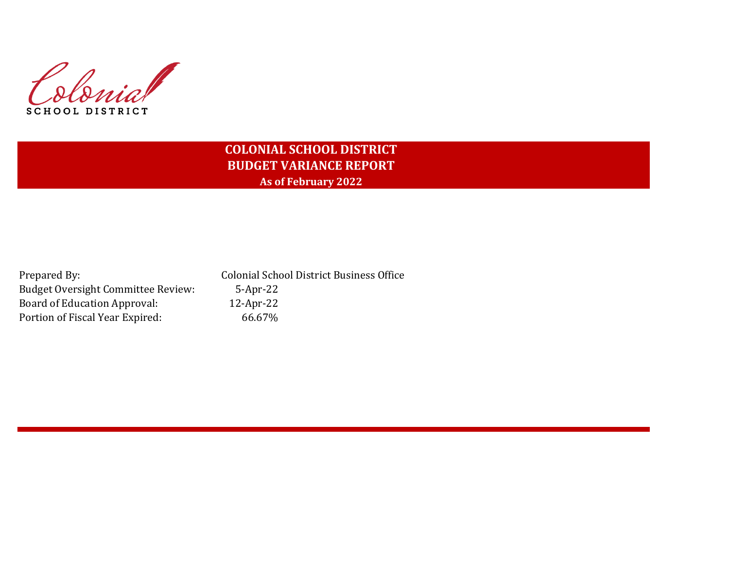Colonial **SCHOOL DISTRICT** 

# **COLONIAL SCHOOL DISTRICT BUDGET VARIANCE REPORT As of February 2022**

Budget Oversight Committee Review: 5-Apr-22 Board of Education Approval: 12-Apr-22 Portion of Fiscal Year Expired: 66.67%

Prepared By: Colonial School District Business Office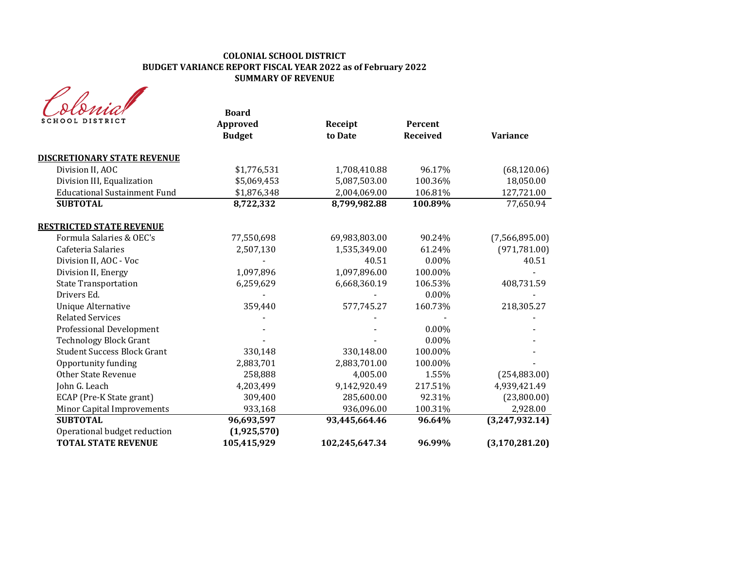| SCHOOL DISTRICT                     | <b>Board</b><br>Approved<br><b>Budget</b> | Receipt<br>to Date | Percent<br><b>Received</b> | <b>Variance</b>  |
|-------------------------------------|-------------------------------------------|--------------------|----------------------------|------------------|
| <b>DISCRETIONARY STATE REVENUE</b>  |                                           |                    |                            |                  |
| Division II, AOC                    | \$1,776,531                               | 1,708,410.88       | 96.17%                     | (68, 120.06)     |
| Division III, Equalization          | \$5,069,453                               | 5,087,503.00       | 100.36%                    | 18,050.00        |
| <b>Educational Sustainment Fund</b> | \$1,876,348                               | 2,004,069.00       | 106.81%                    | 127,721.00       |
| <b>SUBTOTAL</b>                     | 8,722,332                                 | 8,799,982.88       | 100.89%                    | 77,650.94        |
| <b>RESTRICTED STATE REVENUE</b>     |                                           |                    |                            |                  |
| Formula Salaries & OEC's            | 77,550,698                                | 69,983,803.00      | 90.24%                     | (7,566,895.00)   |
| Cafeteria Salaries                  | 2,507,130                                 | 1,535,349.00       | 61.24%                     | (971, 781.00)    |
| Division II, AOC - Voc              |                                           | 40.51              | $0.00\%$                   | 40.51            |
| Division II, Energy                 | 1,097,896                                 | 1,097,896.00       | 100.00%                    |                  |
| <b>State Transportation</b>         | 6,259,629                                 | 6,668,360.19       | 106.53%                    | 408,731.59       |
| Drivers Ed.                         |                                           |                    | $0.00\%$                   |                  |
| <b>Unique Alternative</b>           | 359,440                                   | 577,745.27         | 160.73%                    | 218,305.27       |
| <b>Related Services</b>             |                                           |                    |                            |                  |
| <b>Professional Development</b>     |                                           |                    | $0.00\%$                   |                  |
| <b>Technology Block Grant</b>       |                                           |                    | 0.00%                      |                  |
| <b>Student Success Block Grant</b>  | 330,148                                   | 330,148.00         | 100.00%                    |                  |
| Opportunity funding                 | 2,883,701                                 | 2,883,701.00       | 100.00%                    |                  |
| <b>Other State Revenue</b>          | 258,888                                   | 4,005.00           | 1.55%                      | (254, 883.00)    |
| John G. Leach                       | 4,203,499                                 | 9,142,920.49       | 217.51%                    | 4,939,421.49     |
| ECAP (Pre-K State grant)            | 309,400                                   | 285,600.00         | 92.31%                     | (23,800.00)      |
| <b>Minor Capital Improvements</b>   | 933,168                                   | 936,096.00         | 100.31%                    | 2,928.00         |
| <b>SUBTOTAL</b>                     | 96,693,597                                | 93,445,664.46      | 96.64%                     | (3,247,932.14)   |
| Operational budget reduction        | (1,925,570)                               |                    |                            |                  |
| <b>TOTAL STATE REVENUE</b>          | 105,415,929                               | 102,245,647.34     | 96.99%                     | (3, 170, 281.20) |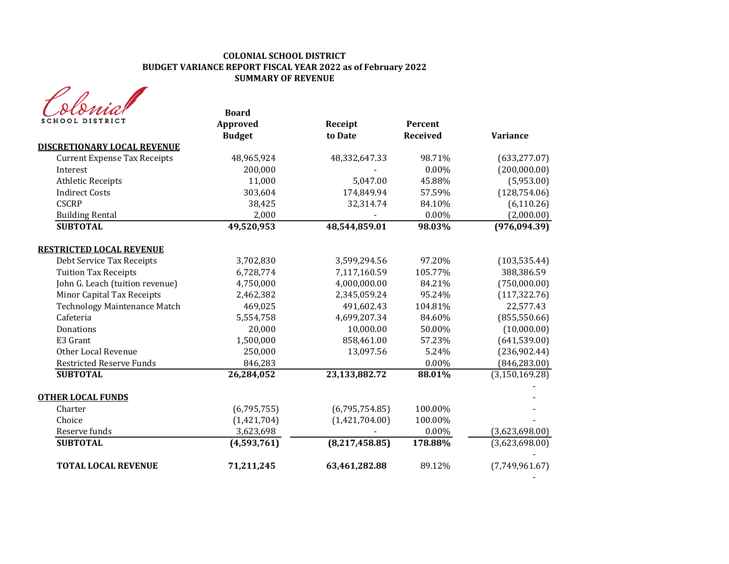| rnia            |  |
|-----------------|--|
| SCHOOL DISTRICT |  |

| olomia<br><b>SCHOOL DISTRICT</b>    | <b>Board</b><br>Approved | Receipt          | Percent         |                  |
|-------------------------------------|--------------------------|------------------|-----------------|------------------|
|                                     | <b>Budget</b>            | to Date          | <b>Received</b> | <b>Variance</b>  |
| <b>DISCRETIONARY LOCAL REVENUE</b>  |                          |                  |                 |                  |
| <b>Current Expense Tax Receipts</b> | 48,965,924               | 48,332,647.33    | 98.71%          | (633, 277.07)    |
| Interest                            | 200,000                  |                  | $0.00\%$        | (200,000.00)     |
| <b>Athletic Receipts</b>            | 11,000                   | 5,047.00         | 45.88%          | (5,953.00)       |
| <b>Indirect Costs</b>               | 303,604                  | 174,849.94       | 57.59%          | (128, 754.06)    |
| <b>CSCRP</b>                        | 38,425                   | 32,314.74        | 84.10%          | (6, 110.26)      |
| <b>Building Rental</b>              | 2,000                    |                  | $0.00\%$        | (2,000.00)       |
| <b>SUBTOTAL</b>                     | 49,520,953               | 48,544,859.01    | 98.03%          | (976, 094.39)    |
| <b>RESTRICTED LOCAL REVENUE</b>     |                          |                  |                 |                  |
| Debt Service Tax Receipts           | 3,702,830                | 3,599,294.56     | 97.20%          | (103, 535.44)    |
| <b>Tuition Tax Receipts</b>         | 6,728,774                | 7,117,160.59     | 105.77%         | 388,386.59       |
| John G. Leach (tuition revenue)     | 4,750,000                | 4,000,000.00     | 84.21%          | (750,000.00)     |
| Minor Capital Tax Receipts          | 2,462,382                | 2,345,059.24     | 95.24%          | (117, 322.76)    |
| <b>Technology Maintenance Match</b> | 469,025                  | 491,602.43       | 104.81%         | 22,577.43        |
| Cafeteria                           | 5,554,758                | 4,699,207.34     | 84.60%          | (855, 550.66)    |
| Donations                           | 20,000                   | 10,000.00        | 50.00%          | (10,000.00)      |
| E3 Grant                            | 1,500,000                | 858,461.00       | 57.23%          | (641, 539.00)    |
| Other Local Revenue                 | 250,000                  | 13,097.56        | 5.24%           | (236,902.44)     |
| <b>Restricted Reserve Funds</b>     | 846,283                  |                  | 0.00%           | (846, 283.00)    |
| <b>SUBTOTAL</b>                     | 26,284,052               | 23,133,882.72    | 88.01%          | (3, 150, 169.28) |
| <b>OTHER LOCAL FUNDS</b>            |                          |                  |                 |                  |
| Charter                             | (6,795,755)              | (6,795,754.85)   | 100.00%         |                  |
| Choice                              | (1,421,704)              | (1,421,704.00)   | 100.00%         |                  |
| Reserve funds                       | 3,623,698                |                  | $0.00\%$        | (3,623,698.00)   |
| <b>SUBTOTAL</b>                     | (4,593,761)              | (8, 217, 458.85) | 178.88%         | (3,623,698.00)   |
| <b>TOTAL LOCAL REVENUE</b>          | 71,211,245               | 63,461,282.88    | 89.12%          | (7,749,961.67)   |
|                                     |                          |                  |                 |                  |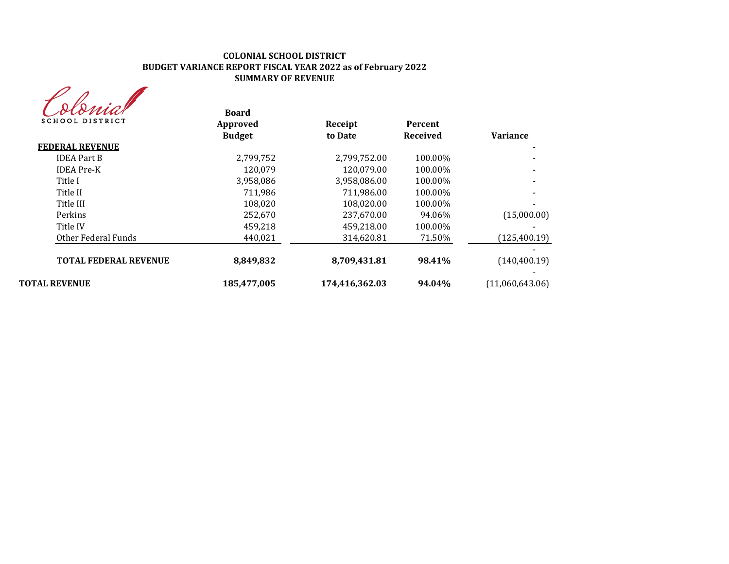| MA              |
|-----------------|
| SCHOOL DISTRICT |

| sionnar<br><b>SCHOOL DISTRICT</b> | <b>Board</b><br>Approved | Receipt        | <b>Percent</b> | <b>Variance</b> |
|-----------------------------------|--------------------------|----------------|----------------|-----------------|
|                                   | <b>Budget</b>            | to Date        | Received       |                 |
| <b>FEDERAL REVENUE</b>            |                          |                |                |                 |
| <b>IDEA</b> Part B                | 2,799,752                | 2,799,752.00   | 100.00%        |                 |
| <b>IDEA</b> Pre-K                 | 120.079                  | 120,079.00     | 100.00%        |                 |
| Title I                           | 3,958,086                | 3,958,086.00   | 100.00%        |                 |
| Title II                          | 711.986                  | 711,986.00     | 100.00%        |                 |
| Title III                         | 108.020                  | 108,020.00     | 100.00%        |                 |
| Perkins                           | 252,670                  | 237,670.00     | 94.06%         | (15,000.00)     |
| Title IV                          | 459.218                  | 459.218.00     | 100.00%        |                 |
| Other Federal Funds               | 440,021                  | 314,620.81     | 71.50%         | (125, 400.19)   |
| <b>TOTAL FEDERAL REVENUE</b>      | 8,849,832                | 8,709,431.81   | 98.41%         | (140, 400.19)   |
| <b>TOTAL REVENUE</b>              | 185,477,005              | 174,416,362.03 | 94.04%         | (11,060,643.06) |
|                                   |                          |                |                |                 |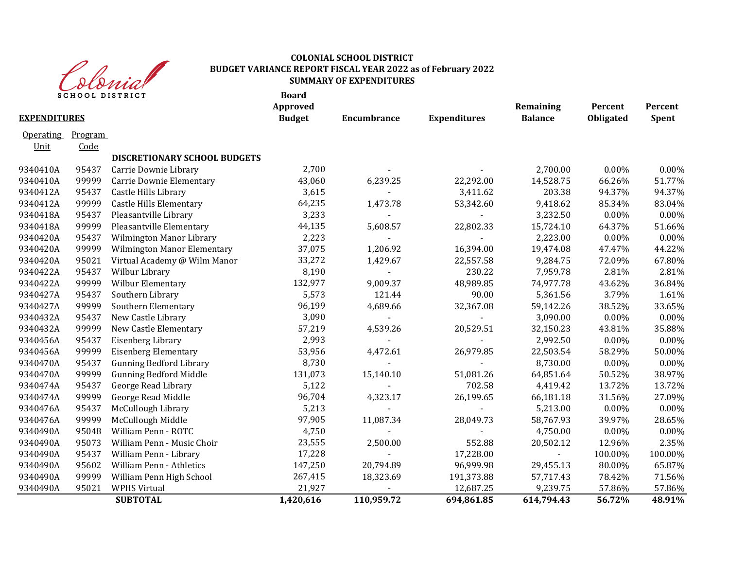

|                     | <b>SCHOOL DISTRICT</b> |                                | <b>Board</b><br>Approved |             |                     | Remaining      | Percent   | Percent      |
|---------------------|------------------------|--------------------------------|--------------------------|-------------|---------------------|----------------|-----------|--------------|
| <b>EXPENDITURES</b> |                        |                                | <b>Budget</b>            | Encumbrance | <b>Expenditures</b> | <b>Balance</b> | Obligated | <b>Spent</b> |
| <b>Operating</b>    | Program                |                                |                          |             |                     |                |           |              |
| Unit                | Code                   |                                |                          |             |                     |                |           |              |
|                     |                        | DISCRETIONARY SCHOOL BUDGETS   |                          |             |                     |                |           |              |
| 9340410A            | 95437                  | Carrie Downie Library          | 2,700                    |             |                     | 2,700.00       | 0.00%     | 0.00%        |
| 9340410A            | 99999                  | Carrie Downie Elementary       | 43,060                   | 6,239.25    | 22,292.00           | 14,528.75      | 66.26%    | 51.77%       |
| 9340412A            | 95437                  | Castle Hills Library           | 3,615                    |             | 3,411.62            | 203.38         | 94.37%    | 94.37%       |
| 9340412A            | 99999                  | <b>Castle Hills Elementary</b> | 64,235                   | 1,473.78    | 53,342.60           | 9,418.62       | 85.34%    | 83.04%       |
| 9340418A            | 95437                  | Pleasantville Library          | 3,233                    |             | $\blacksquare$      | 3,232.50       | $0.00\%$  | 0.00%        |
| 9340418A            | 99999                  | Pleasantville Elementary       | 44,135                   | 5,608.57    | 22,802.33           | 15,724.10      | 64.37%    | 51.66%       |
| 9340420A            | 95437                  | Wilmington Manor Library       | 2,223                    |             | $\sim$              | 2,223.00       | $0.00\%$  | 0.00%        |
| 9340420A            | 99999                  | Wilmington Manor Elementary    | 37,075                   | 1,206.92    | 16,394.00           | 19,474.08      | 47.47%    | 44.22%       |
| 9340420A            | 95021                  | Virtual Academy @ Wilm Manor   | 33,272                   | 1,429.67    | 22,557.58           | 9,284.75       | 72.09%    | 67.80%       |
| 9340422A            | 95437                  | Wilbur Library                 | 8,190                    |             | 230.22              | 7,959.78       | 2.81%     | 2.81%        |
| 9340422A            | 99999                  | Wilbur Elementary              | 132,977                  | 9,009.37    | 48,989.85           | 74,977.78      | 43.62%    | 36.84%       |
| 9340427A            | 95437                  | Southern Library               | 5,573                    | 121.44      | 90.00               | 5,361.56       | 3.79%     | 1.61%        |
| 9340427A            | 99999                  | Southern Elementary            | 96,199                   | 4,689.66    | 32,367.08           | 59,142.26      | 38.52%    | 33.65%       |
| 9340432A            | 95437                  | New Castle Library             | 3,090                    |             |                     | 3,090.00       | $0.00\%$  | 0.00%        |
| 9340432A            | 99999                  | New Castle Elementary          | 57,219                   | 4,539.26    | 20,529.51           | 32,150.23      | 43.81%    | 35.88%       |
| 9340456A            | 95437                  | Eisenberg Library              | 2,993                    |             |                     | 2,992.50       | $0.00\%$  | 0.00%        |
| 9340456A            | 99999                  | <b>Eisenberg Elementary</b>    | 53,956                   | 4,472.61    | 26,979.85           | 22,503.54      | 58.29%    | 50.00%       |
| 9340470A            | 95437                  | <b>Gunning Bedford Library</b> | 8,730                    |             |                     | 8,730.00       | $0.00\%$  | 0.00%        |
| 9340470A            | 99999                  | <b>Gunning Bedford Middle</b>  | 131,073                  | 15,140.10   | 51,081.26           | 64,851.64      | 50.52%    | 38.97%       |
| 9340474A            | 95437                  | George Read Library            | 5,122                    |             | 702.58              | 4,419.42       | 13.72%    | 13.72%       |
| 9340474A            | 99999                  | George Read Middle             | 96,704                   | 4,323.17    | 26,199.65           | 66,181.18      | 31.56%    | 27.09%       |
| 9340476A            | 95437                  | McCullough Library             | 5,213                    |             |                     | 5,213.00       | $0.00\%$  | 0.00%        |
| 9340476A            | 99999                  | McCullough Middle              | 97,905                   | 11,087.34   | 28,049.73           | 58,767.93      | 39.97%    | 28.65%       |
| 9340490A            | 95048                  | William Penn - ROTC            | 4,750                    |             |                     | 4,750.00       | $0.00\%$  | 0.00%        |
| 9340490A            | 95073                  | William Penn - Music Choir     | 23,555                   | 2,500.00    | 552.88              | 20,502.12      | 12.96%    | 2.35%        |
| 9340490A            | 95437                  | William Penn - Library         | 17,228                   |             | 17,228.00           | $\blacksquare$ | 100.00%   | 100.00%      |
| 9340490A            | 95602                  | William Penn - Athletics       | 147,250                  | 20,794.89   | 96,999.98           | 29,455.13      | 80.00%    | 65.87%       |
| 9340490A            | 99999                  | William Penn High School       | 267,415                  | 18,323.69   | 191,373.88          | 57,717.43      | 78.42%    | 71.56%       |
| 9340490A            | 95021                  | <b>WPHS Virtual</b>            | 21,927                   |             | 12,687.25           | 9,239.75       | 57.86%    | 57.86%       |
|                     |                        | <b>SUBTOTAL</b>                | 1,420,616                | 110,959.72  | 694,861.85          | 614,794.43     | 56.72%    | 48.91%       |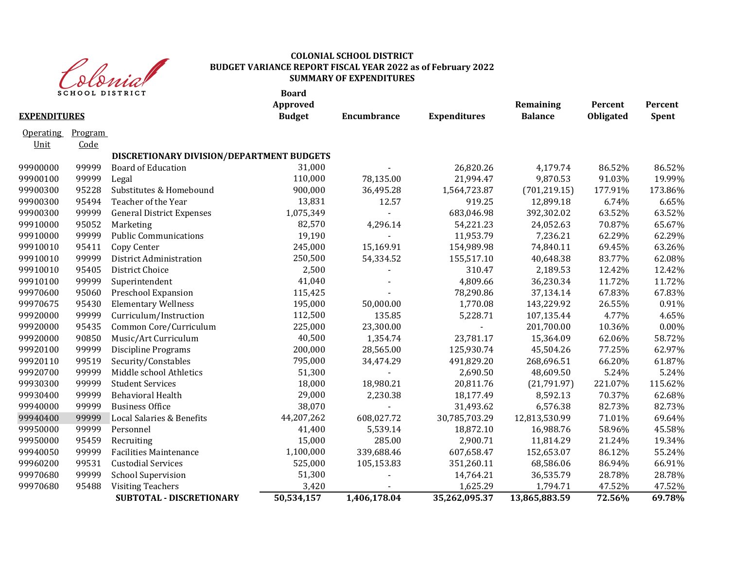

|                     | <b>SCHOOL DISTRICT</b> |                                           | <b>Board</b><br>Approved |                    |                     | Remaining      | Percent   | Percent      |
|---------------------|------------------------|-------------------------------------------|--------------------------|--------------------|---------------------|----------------|-----------|--------------|
| <b>EXPENDITURES</b> |                        |                                           | <b>Budget</b>            | <b>Encumbrance</b> | <b>Expenditures</b> | <b>Balance</b> | Obligated | <b>Spent</b> |
| <b>Operating</b>    | Program                |                                           |                          |                    |                     |                |           |              |
| Unit                | Code                   |                                           |                          |                    |                     |                |           |              |
|                     |                        | DISCRETIONARY DIVISION/DEPARTMENT BUDGETS |                          |                    |                     |                |           |              |
| 99900000            | 99999                  | <b>Board of Education</b>                 | 31,000                   |                    | 26,820.26           | 4,179.74       | 86.52%    | 86.52%       |
| 99900100            | 99999                  | Legal                                     | 110,000                  | 78,135.00          | 21,994.47           | 9,870.53       | 91.03%    | 19.99%       |
| 99900300            | 95228                  | Substitutes & Homebound                   | 900,000                  | 36,495.28          | 1,564,723.87        | (701, 219.15)  | 177.91%   | 173.86%      |
| 99900300            | 95494                  | Teacher of the Year                       | 13,831                   | 12.57              | 919.25              | 12,899.18      | 6.74%     | 6.65%        |
| 99900300            | 99999                  | <b>General District Expenses</b>          | 1,075,349                |                    | 683,046.98          | 392,302.02     | 63.52%    | 63.52%       |
| 99910000            | 95052                  | Marketing                                 | 82,570                   | 4,296.14           | 54,221.23           | 24,052.63      | 70.87%    | 65.67%       |
| 99910000            | 99999                  | <b>Public Communications</b>              | 19,190                   |                    | 11,953.79           | 7,236.21       | 62.29%    | 62.29%       |
| 99910010            | 95411                  | Copy Center                               | 245,000                  | 15,169.91          | 154,989.98          | 74,840.11      | 69.45%    | 63.26%       |
| 99910010            | 99999                  | District Administration                   | 250,500                  | 54,334.52          | 155,517.10          | 40,648.38      | 83.77%    | 62.08%       |
| 99910010            | 95405                  | District Choice                           | 2,500                    |                    | 310.47              | 2,189.53       | 12.42%    | 12.42%       |
| 99910100            | 99999                  | Superintendent                            | 41,040                   |                    | 4,809.66            | 36,230.34      | 11.72%    | 11.72%       |
| 99970600            | 95060                  | Preschool Expansion                       | 115,425                  |                    | 78,290.86           | 37,134.14      | 67.83%    | 67.83%       |
| 99970675            | 95430                  | <b>Elementary Wellness</b>                | 195,000                  | 50,000.00          | 1,770.08            | 143,229.92     | 26.55%    | 0.91%        |
| 99920000            | 99999                  | Curriculum/Instruction                    | 112,500                  | 135.85             | 5,228.71            | 107,135.44     | 4.77%     | 4.65%        |
| 99920000            | 95435                  | Common Core/Curriculum                    | 225,000                  | 23,300.00          |                     | 201,700.00     | 10.36%    | 0.00%        |
| 99920000            | 90850                  | Music/Art Curriculum                      | 40,500                   | 1,354.74           | 23,781.17           | 15,364.09      | 62.06%    | 58.72%       |
| 99920100            | 99999                  | <b>Discipline Programs</b>                | 200,000                  | 28,565.00          | 125,930.74          | 45,504.26      | 77.25%    | 62.97%       |
| 99920110            | 99519                  | Security/Constables                       | 795,000                  | 34,474.29          | 491,829.20          | 268,696.51     | 66.20%    | 61.87%       |
| 99920700            | 99999                  | Middle school Athletics                   | 51,300                   |                    | 2,690.50            | 48,609.50      | 5.24%     | 5.24%        |
| 99930300            | 99999                  | <b>Student Services</b>                   | 18,000                   | 18,980.21          | 20,811.76           | (21,791.97)    | 221.07%   | 115.62%      |
| 99930400            | 99999                  | <b>Behavioral Health</b>                  | 29,000                   | 2,230.38           | 18,177.49           | 8,592.13       | 70.37%    | 62.68%       |
| 99940000            | 99999                  | <b>Business Office</b>                    | 38,070                   |                    | 31,493.62           | 6,576.38       | 82.73%    | 82.73%       |
| 99940400            | 99999                  | Local Salaries & Benefits                 | 44,207,262               | 608,027.72         | 30,785,703.29       | 12,813,530.99  | 71.01%    | 69.64%       |
| 99950000            | 99999                  | Personnel                                 | 41,400                   | 5,539.14           | 18,872.10           | 16,988.76      | 58.96%    | 45.58%       |
| 99950000            | 95459                  | Recruiting                                | 15,000                   | 285.00             | 2,900.71            | 11,814.29      | 21.24%    | 19.34%       |
| 99940050            | 99999                  | <b>Facilities Maintenance</b>             | 1,100,000                | 339,688.46         | 607,658.47          | 152,653.07     | 86.12%    | 55.24%       |
| 99960200            | 99531                  | <b>Custodial Services</b>                 | 525,000                  | 105,153.83         | 351,260.11          | 68,586.06      | 86.94%    | 66.91%       |
| 99970680            | 99999                  | <b>School Supervision</b>                 | 51,300                   |                    | 14,764.21           | 36,535.79      | 28.78%    | 28.78%       |
| 99970680            | 95488                  | <b>Visiting Teachers</b>                  | 3,420                    |                    | 1,625.29            | 1,794.71       | 47.52%    | 47.52%       |
|                     |                        | SUBTOTAL - DISCRETIONARY                  | 50,534,157               | 1,406,178.04       | 35,262,095.37       | 13,865,883.59  | 72.56%    | 69.78%       |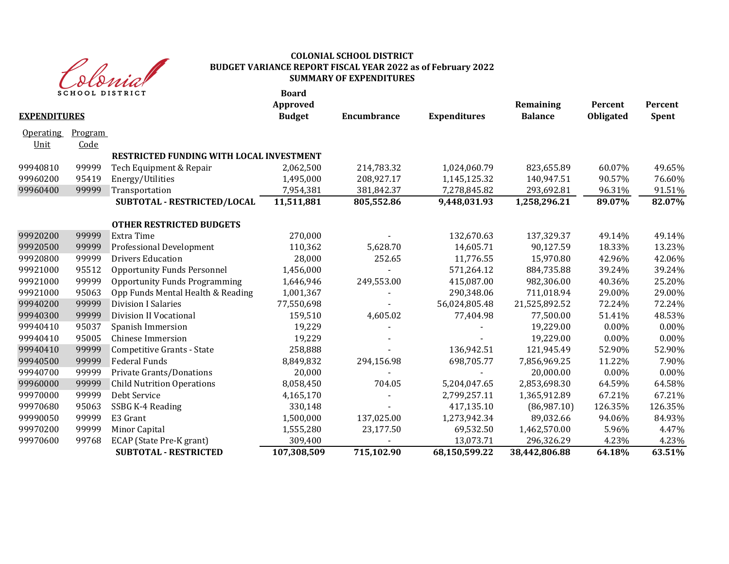

| $\mathbf{v} \mathbf{v} \mathbf{v} \mathbf{v} \mathbf{v}$<br><b>SCHOOL DISTRICT</b> |         |                                          | <b>Board</b><br>Approved |                    |                     | Remaining      | Percent   | Percent      |
|------------------------------------------------------------------------------------|---------|------------------------------------------|--------------------------|--------------------|---------------------|----------------|-----------|--------------|
| <b>EXPENDITURES</b>                                                                |         |                                          | <b>Budget</b>            | <b>Encumbrance</b> | <b>Expenditures</b> | <b>Balance</b> | Obligated | <b>Spent</b> |
| <b>Operating</b>                                                                   | Program |                                          |                          |                    |                     |                |           |              |
| Unit                                                                               | Code    |                                          |                          |                    |                     |                |           |              |
|                                                                                    |         | RESTRICTED FUNDING WITH LOCAL INVESTMENT |                          |                    |                     |                |           |              |
| 99940810                                                                           | 99999   | Tech Equipment & Repair                  | 2,062,500                | 214,783.32         | 1,024,060.79        | 823,655.89     | 60.07%    | 49.65%       |
| 99960200                                                                           | 95419   | Energy/Utilities                         | 1,495,000                | 208,927.17         | 1,145,125.32        | 140,947.51     | 90.57%    | 76.60%       |
| 99960400                                                                           | 99999   | Transportation                           | 7,954,381                | 381,842.37         | 7,278,845.82        | 293,692.81     | 96.31%    | 91.51%       |
|                                                                                    |         | SUBTOTAL - RESTRICTED/LOCAL              | 11,511,881               | 805,552.86         | 9,448,031.93        | 1,258,296.21   | 89.07%    | 82.07%       |
|                                                                                    |         | <b>OTHER RESTRICTED BUDGETS</b>          |                          |                    |                     |                |           |              |
| 99920200                                                                           | 99999   | Extra Time                               | 270,000                  |                    | 132,670.63          | 137,329.37     | 49.14%    | 49.14%       |
| 99920500                                                                           | 99999   | Professional Development                 | 110,362                  | 5,628.70           | 14,605.71           | 90,127.59      | 18.33%    | 13.23%       |
| 99920800                                                                           | 99999   | <b>Drivers Education</b>                 | 28,000                   | 252.65             | 11,776.55           | 15,970.80      | 42.96%    | 42.06%       |
| 99921000                                                                           | 95512   | <b>Opportunity Funds Personnel</b>       | 1,456,000                |                    | 571,264.12          | 884,735.88     | 39.24%    | 39.24%       |
| 99921000                                                                           | 99999   | <b>Opportunity Funds Programming</b>     | 1,646,946                | 249,553.00         | 415,087.00          | 982,306.00     | 40.36%    | 25.20%       |
| 99921000                                                                           | 95063   | Opp Funds Mental Health & Reading        | 1,001,367                |                    | 290,348.06          | 711,018.94     | 29.00%    | 29.00%       |
| 99940200                                                                           | 99999   | <b>Division I Salaries</b>               | 77,550,698               |                    | 56,024,805.48       | 21,525,892.52  | 72.24%    | 72.24%       |
| 99940300                                                                           | 99999   | <b>Division II Vocational</b>            | 159,510                  | 4,605.02           | 77,404.98           | 77,500.00      | 51.41%    | 48.53%       |
| 99940410                                                                           | 95037   | Spanish Immersion                        | 19,229                   |                    |                     | 19,229.00      | $0.00\%$  | 0.00%        |
| 99940410                                                                           | 95005   | <b>Chinese Immersion</b>                 | 19,229                   |                    |                     | 19,229.00      | $0.00\%$  | 0.00%        |
| 99940410                                                                           | 99999   | Competitive Grants - State               | 258,888                  |                    | 136,942.51          | 121,945.49     | 52.90%    | 52.90%       |
| 99940500                                                                           | 99999   | <b>Federal Funds</b>                     | 8,849,832                | 294,156.98         | 698,705.77          | 7,856,969.25   | 11.22%    | 7.90%        |
| 99940700                                                                           | 99999   | Private Grants/Donations                 | 20,000                   |                    |                     | 20,000.00      | 0.00%     | 0.00%        |
| 99960000                                                                           | 99999   | <b>Child Nutrition Operations</b>        | 8,058,450                | 704.05             | 5,204,047.65        | 2,853,698.30   | 64.59%    | 64.58%       |
| 99970000                                                                           | 99999   | Debt Service                             | 4,165,170                |                    | 2,799,257.11        | 1,365,912.89   | 67.21%    | 67.21%       |
| 99970680                                                                           | 95063   | SSBG K-4 Reading                         | 330,148                  |                    | 417,135.10          | (86,987.10)    | 126.35%   | 126.35%      |
| 99990050                                                                           | 99999   | E3 Grant                                 | 1,500,000                | 137,025.00         | 1,273,942.34        | 89,032.66      | 94.06%    | 84.93%       |
| 99970200                                                                           | 99999   | Minor Capital                            | 1,555,280                | 23,177.50          | 69,532.50           | 1,462,570.00   | 5.96%     | 4.47%        |
| 99970600                                                                           | 99768   | ECAP (State Pre-K grant)                 | 309,400                  |                    | 13,073.71           | 296,326.29     | 4.23%     | 4.23%        |
|                                                                                    |         | <b>SUBTOTAL - RESTRICTED</b>             | 107,308,509              | 715,102.90         | 68,150,599.22       | 38,442,806.88  | 64.18%    | 63.51%       |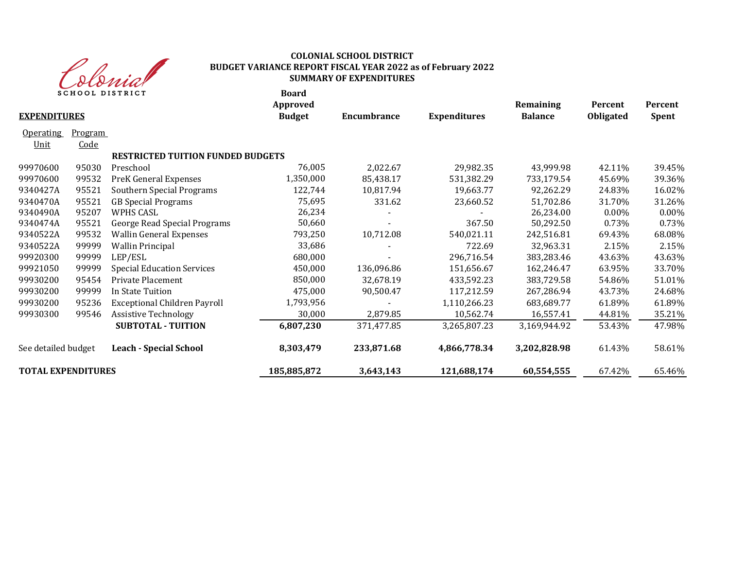

|                           |                | <b>SCHOOL DISTRICT</b>                   | <b>Board</b><br>Approved |             |                     | Remaining      | Percent   | Percent      |
|---------------------------|----------------|------------------------------------------|--------------------------|-------------|---------------------|----------------|-----------|--------------|
| <b>EXPENDITURES</b>       |                |                                          | <b>Budget</b>            | Encumbrance | <b>Expenditures</b> | <b>Balance</b> | Obligated | <b>Spent</b> |
| <b>Operating</b>          | <b>Program</b> |                                          |                          |             |                     |                |           |              |
| Unit                      | <u>Code</u>    |                                          |                          |             |                     |                |           |              |
|                           |                | <b>RESTRICTED TUITION FUNDED BUDGETS</b> |                          |             |                     |                |           |              |
| 99970600                  | 95030          | Preschool                                | 76,005                   | 2,022.67    | 29,982.35           | 43,999.98      | 42.11%    | 39.45%       |
| 99970600                  | 99532          | PreK General Expenses                    | 1,350,000                | 85,438.17   | 531,382.29          | 733,179.54     | 45.69%    | 39.36%       |
| 9340427A                  | 95521          | Southern Special Programs                | 122,744                  | 10,817.94   | 19,663.77           | 92,262.29      | 24.83%    | 16.02%       |
| 9340470A                  | 95521          | <b>GB Special Programs</b>               | 75,695                   | 331.62      | 23,660.52           | 51,702.86      | 31.70%    | 31.26%       |
| 9340490A                  | 95207          | <b>WPHS CASL</b>                         | 26,234                   |             |                     | 26,234.00      | 0.00%     | 0.00%        |
| 9340474A                  | 95521          | George Read Special Programs             | 50,660                   |             | 367.50              | 50,292.50      | 0.73%     | 0.73%        |
| 9340522A                  | 99532          | <b>Wallin General Expenses</b>           | 793,250                  | 10,712.08   | 540,021.11          | 242,516.81     | 69.43%    | 68.08%       |
| 9340522A                  | 99999          | <b>Wallin Principal</b>                  | 33,686                   |             | 722.69              | 32,963.31      | 2.15%     | 2.15%        |
| 99920300                  | 99999          | LEP/ESL                                  | 680,000                  |             | 296,716.54          | 383,283.46     | 43.63%    | 43.63%       |
| 99921050                  | 99999          | <b>Special Education Services</b>        | 450,000                  | 136,096.86  | 151,656.67          | 162,246.47     | 63.95%    | 33.70%       |
| 99930200                  | 95454          | Private Placement                        | 850,000                  | 32,678.19   | 433,592.23          | 383,729.58     | 54.86%    | 51.01%       |
| 99930200                  | 99999          | In State Tuition                         | 475,000                  | 90,500.47   | 117,212.59          | 267,286.94     | 43.73%    | 24.68%       |
| 99930200                  | 95236          | <b>Exceptional Children Payroll</b>      | 1,793,956                |             | 1,110,266.23        | 683,689.77     | 61.89%    | 61.89%       |
| 99930300                  | 99546          | <b>Assistive Technology</b>              | 30,000                   | 2,879.85    | 10,562.74           | 16,557.41      | 44.81%    | 35.21%       |
|                           |                | <b>SUBTOTAL - TUITION</b>                | 6,807,230                | 371,477.85  | 3,265,807.23        | 3,169,944.92   | 53.43%    | 47.98%       |
| See detailed budget       |                | <b>Leach - Special School</b>            | 8,303,479                | 233,871.68  | 4,866,778.34        | 3,202,828.98   | 61.43%    | 58.61%       |
| <b>TOTAL EXPENDITURES</b> |                |                                          | 185,885,872              | 3,643,143   | 121,688,174         | 60,554,555     | 67.42%    | 65.46%       |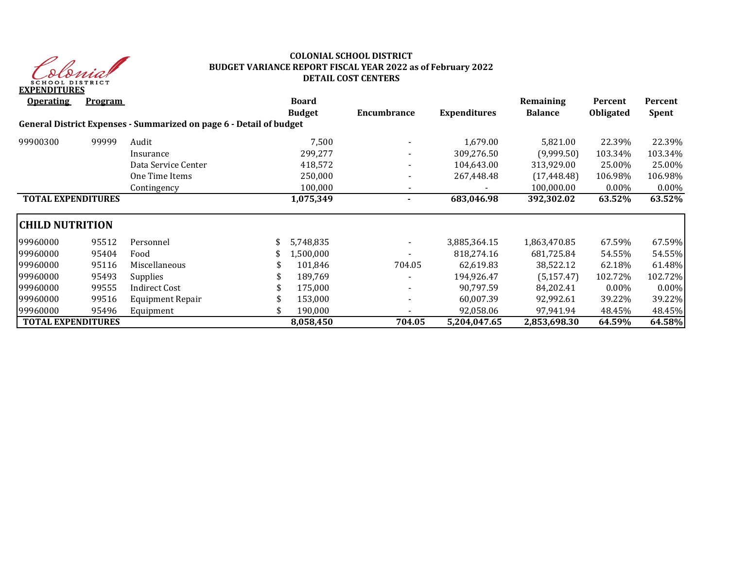

## **COLONIAL SCHOOL DISTRICT BUDGET VARIANCE REPORT FISCAL YEAR 2022 as of February 2022 DETAIL COST CENTERS**

| <b>Operating</b>          | <b>Program</b> |                                                                     | <b>Board</b><br><b>Budget</b> | Encumbrance | <b>Expenditures</b> | Remaining<br><b>Balance</b> | Percent<br><b>Obligated</b> | Percent<br><b>Spent</b> |
|---------------------------|----------------|---------------------------------------------------------------------|-------------------------------|-------------|---------------------|-----------------------------|-----------------------------|-------------------------|
|                           |                | General District Expenses - Summarized on page 6 - Detail of budget |                               |             |                     |                             |                             |                         |
| 99900300                  | 99999          | Audit                                                               | 7,500                         |             | 1,679.00            | 5,821.00                    | 22.39%                      | 22.39%                  |
|                           |                | Insurance                                                           | 299,277                       | ٠           | 309,276.50          | (9,999.50)                  | 103.34%                     | 103.34%                 |
|                           |                | Data Service Center                                                 | 418,572                       |             | 104,643.00          | 313,929.00                  | 25.00%                      | 25.00%                  |
|                           |                | One Time Items                                                      | 250,000                       |             | 267,448.48          | (17, 448.48)                | 106.98%                     | 106.98%                 |
|                           |                | Contingency                                                         | 100,000                       |             |                     | 100,000.00                  | $0.00\%$                    | $0.00\%$                |
| <b>TOTAL EXPENDITURES</b> |                |                                                                     | 1,075,349                     |             | 683,046.98          | 392,302.02                  | 63.52%                      | 63.52%                  |
| <b>CHILD NUTRITION</b>    |                |                                                                     |                               |             |                     |                             |                             |                         |
| 99960000                  | 95512          | Personnel                                                           | 5,748,835                     |             | 3,885,364.15        | 1,863,470.85                | 67.59%                      | 67.59%                  |
| 99960000                  | 95404          | Food                                                                | 1,500,000                     |             | 818,274.16          | 681,725.84                  | 54.55%                      | 54.55%                  |
| 99960000                  | 95116          | Miscellaneous                                                       | 101,846                       | 704.05      | 62,619.83           | 38,522.12                   | 62.18%                      | 61.48%                  |
| 99960000                  | 95493          | <b>Supplies</b>                                                     | 189,769                       |             | 194,926.47          | (5, 157.47)                 | 102.72%                     | 102.72%                 |
| 99960000                  | 99555          | <b>Indirect Cost</b>                                                | 175,000                       |             | 90.797.59           | 84,202.41                   | $0.00\%$                    | $0.00\%$                |
| 99960000                  | 99516          | Equipment Repair                                                    | 153,000                       |             | 60,007.39           | 92,992.61                   | 39.22%                      | 39.22%                  |
| 99960000                  | 95496          | Equipment                                                           | 190,000                       |             | 92,058.06           | 97,941.94                   | 48.45%                      | 48.45%                  |
| <b>TOTAL EXPENDITURES</b> |                |                                                                     | 8,058,450                     | 704.05      | 5,204,047.65        | 2,853,698.30                | 64.59%                      | 64.58%                  |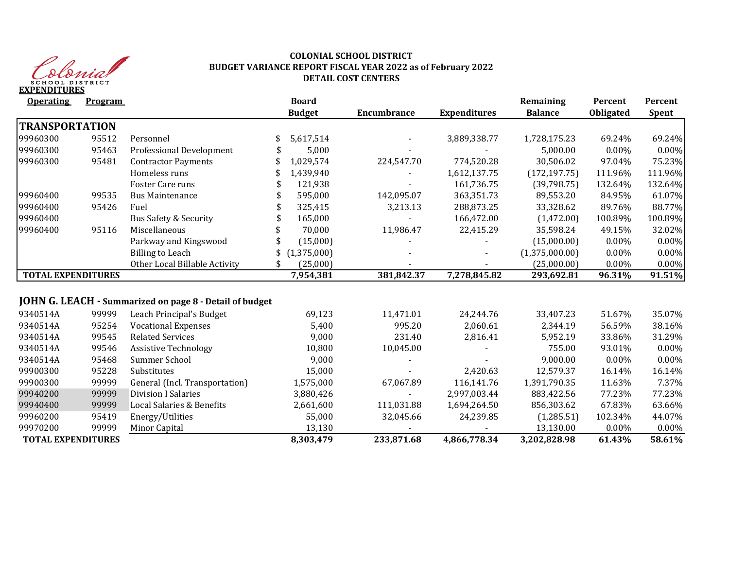

## **COLONIAL SCHOOL DISTRICT BUDGET VARIANCE REPORT FISCAL YEAR 2022 as of February 2022 DETAIL COST CENTERS**

| <b>Operating</b>          | <b>Program</b> |                                                         |     | <b>Board</b><br><b>Budget</b> | <b>Encumbrance</b> | <b>Expenditures</b> | Remaining<br><b>Balance</b> | Percent   | Percent<br><b>Spent</b> |
|---------------------------|----------------|---------------------------------------------------------|-----|-------------------------------|--------------------|---------------------|-----------------------------|-----------|-------------------------|
|                           |                |                                                         |     |                               |                    |                     |                             | Obligated |                         |
| <b>TRANSPORTATION</b>     |                |                                                         |     |                               |                    |                     |                             |           |                         |
| 99960300                  | 95512          | Personnel                                               | S   | 5,617,514                     |                    | 3,889,338.77        | 1,728,175.23                | 69.24%    | 69.24%                  |
| 99960300                  | 95463          | Professional Development                                |     | 5,000                         |                    |                     | 5,000.00                    | 0.00%     | $0.00\%$                |
| 99960300                  | 95481          | <b>Contractor Payments</b>                              |     | 1,029,574                     | 224,547.70         | 774,520.28          | 30,506.02                   | 97.04%    | 75.23%                  |
|                           |                | Homeless runs                                           |     | 1,439,940                     |                    | 1,612,137.75        | (172, 197.75)               | 111.96%   | 111.96%                 |
|                           |                | Foster Care runs                                        |     | 121,938                       |                    | 161,736.75          | (39,798.75)                 | 132.64%   | 132.64%                 |
| 99960400                  | 99535          | <b>Bus Maintenance</b>                                  |     | 595,000                       | 142,095.07         | 363,351.73          | 89,553.20                   | 84.95%    | 61.07%                  |
| 99960400                  | 95426          | Fuel                                                    |     | 325,415                       | 3,213.13           | 288,873.25          | 33,328.62                   | 89.76%    | 88.77%                  |
| 99960400                  |                | <b>Bus Safety &amp; Security</b>                        |     | 165,000                       |                    | 166,472.00          | (1,472.00)                  | 100.89%   | 100.89%                 |
| 99960400                  | 95116          | Miscellaneous                                           |     | 70,000                        | 11,986.47          | 22,415.29           | 35,598.24                   | 49.15%    | 32.02%                  |
|                           |                | Parkway and Kingswood                                   |     | (15,000)                      |                    |                     | (15,000.00)                 | 0.00%     | 0.00%                   |
|                           |                | <b>Billing to Leach</b>                                 |     | (1,375,000)                   |                    |                     | (1,375,000.00)              | $0.00\%$  | 0.00%                   |
|                           |                | Other Local Billable Activity                           | \$. | (25,000)                      |                    |                     | (25,000.00)                 | 0.00%     | 0.00%                   |
| <b>TOTAL EXPENDITURES</b> |                |                                                         |     | 7,954,381                     | 381,842.37         | 7,278,845.82        | 293,692.81                  | 96.31%    | 91.51%                  |
|                           |                |                                                         |     |                               |                    |                     |                             |           |                         |
|                           |                | JOHN G. LEACH - Summarized on page 8 - Detail of budget |     |                               |                    |                     |                             |           |                         |
| 9340514A                  | 99999          | Leach Principal's Budget                                |     | 69,123                        | 11,471.01          | 24,244.76           | 33,407.23                   | 51.67%    | 35.07%                  |
| 9340514A                  | 95254          | <b>Vocational Expenses</b>                              |     | 5,400                         | 995.20             | 2,060.61            | 2,344.19                    | 56.59%    | 38.16%                  |
| 9340514A                  | 99545          | <b>Related Services</b>                                 |     | 9,000                         | 231.40             | 2,816.41            | 5,952.19                    | 33.86%    | 31.29%                  |
| 9340514A                  | 99546          | <b>Assistive Technology</b>                             |     | 10,800                        | 10,045.00          |                     | 755.00                      | 93.01%    | 0.00%                   |
| 9340514A                  | 95468          | Summer School                                           |     | 9,000                         |                    |                     | 9,000.00                    | $0.00\%$  | 0.00%                   |
| 99900300                  | 95228          | Substitutes                                             |     | 15,000                        |                    | 2,420.63            | 12,579.37                   | 16.14%    | 16.14%                  |
| 99900300                  | 99999          | General (Incl. Transportation)                          |     | 1,575,000                     | 67,067.89          | 116,141.76          | 1,391,790.35                | 11.63%    | 7.37%                   |
| 99940200                  | 99999          | <b>Division I Salaries</b>                              |     | 3,880,426                     |                    | 2,997,003.44        | 883,422.56                  | 77.23%    | 77.23%                  |
| 99940400                  | 99999          | Local Salaries & Benefits                               |     | 2,661,600                     | 111,031.88         | 1,694,264.50        | 856,303.62                  | 67.83%    | 63.66%                  |
| 99960200                  | 95419          | Energy/Utilities                                        |     | 55,000                        | 32,045.66          | 24,239.85           | (1, 285.51)                 | 102.34%   | 44.07%                  |
| 99970200                  | 99999          | Minor Capital                                           |     | 13,130                        |                    |                     | 13,130.00                   | 0.00%     | 0.00%                   |
| <b>TOTAL EXPENDITURES</b> |                |                                                         |     | 8,303,479                     | 233,871.68         | 4,866,778.34        | 3,202,828.98                | 61.43%    | 58.61%                  |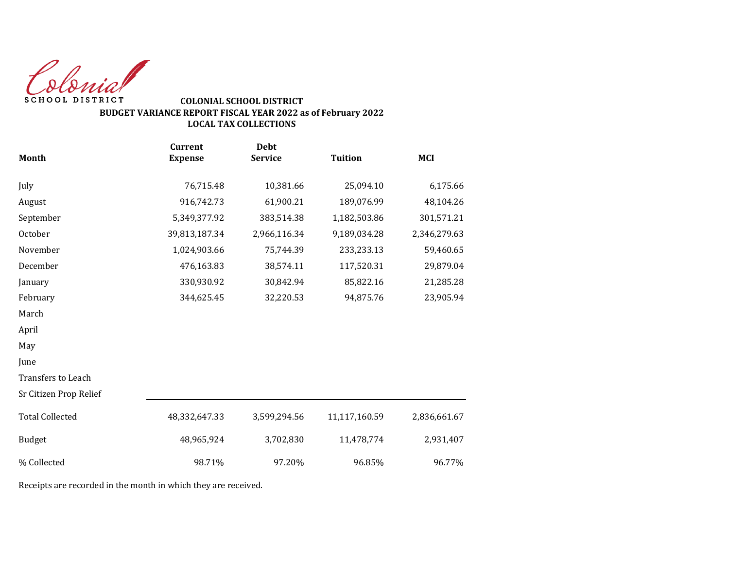Colonial SCHOOL DISTRICT

## **COLONIAL SCHOOL DISTRICT BUDGET VARIANCE REPORT FISCAL YEAR 2022 as of February 2022 LOCAL TAX COLLECTIONS**

|                        | <b>Debt</b><br><b>Current</b> |                |                |              |  |
|------------------------|-------------------------------|----------------|----------------|--------------|--|
| <b>Month</b>           | <b>Expense</b>                | <b>Service</b> | <b>Tuition</b> | <b>MCI</b>   |  |
| July                   | 76,715.48                     | 10,381.66      | 25,094.10      | 6,175.66     |  |
| August                 | 916,742.73                    | 61,900.21      | 189,076.99     | 48,104.26    |  |
| September              | 5,349,377.92                  | 383,514.38     | 1,182,503.86   | 301,571.21   |  |
| October                | 39,813,187.34                 | 2,966,116.34   | 9,189,034.28   | 2,346,279.63 |  |
| November               | 1,024,903.66                  | 75,744.39      | 233,233.13     | 59,460.65    |  |
| December               | 476,163.83                    | 38,574.11      | 117,520.31     | 29,879.04    |  |
| January                | 330,930.92                    | 30,842.94      | 85,822.16      | 21,285.28    |  |
| February               | 344,625.45                    | 32,220.53      | 94,875.76      | 23,905.94    |  |
| March                  |                               |                |                |              |  |
| April                  |                               |                |                |              |  |
| May                    |                               |                |                |              |  |
| June                   |                               |                |                |              |  |
| Transfers to Leach     |                               |                |                |              |  |
| Sr Citizen Prop Relief |                               |                |                |              |  |
| <b>Total Collected</b> | 48,332,647.33                 | 3,599,294.56   | 11,117,160.59  | 2,836,661.67 |  |
| <b>Budget</b>          | 48,965,924                    | 3,702,830      | 11,478,774     | 2,931,407    |  |
| % Collected            | 98.71%                        | 97.20%         | 96.85%         | 96.77%       |  |

Receipts are recorded in the month in which they are received.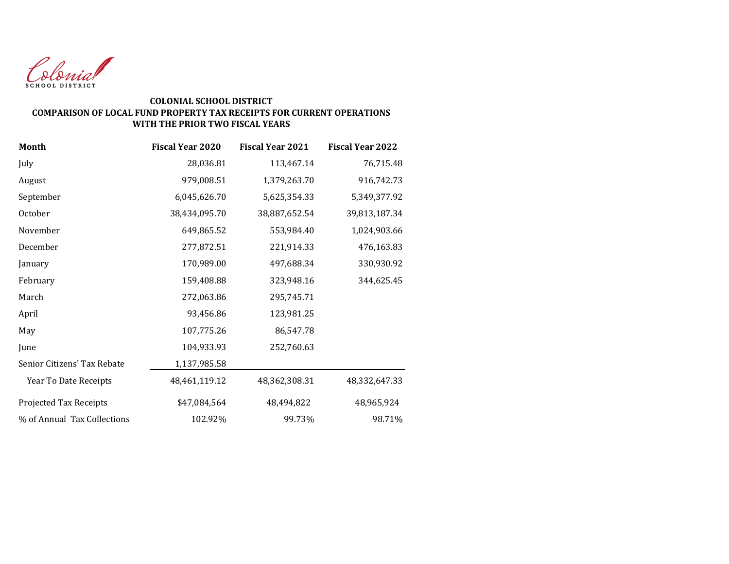

#### **COLONIAL SCHOOL DISTRICT COMPARISON OF LOCAL FUND PROPERTY TAX RECEIPTS FOR CURRENT OPERATIONS WITH THE PRIOR TWO FISCAL YEARS**

| Month                       | <b>Fiscal Year 2020</b> | <b>Fiscal Year 2021</b> | <b>Fiscal Year 2022</b> |
|-----------------------------|-------------------------|-------------------------|-------------------------|
| July                        | 28,036.81               | 113,467.14              | 76,715.48               |
| August                      | 979,008.51              | 1,379,263.70            | 916,742.73              |
| September                   | 6,045,626.70            | 5,625,354.33            | 5,349,377.92            |
| October                     | 38,434,095.70           | 38,887,652.54           | 39,813,187.34           |
| November                    | 649,865.52              | 553,984.40              | 1,024,903.66            |
| December                    | 277,872.51              | 221,914.33              | 476,163.83              |
| January                     | 170,989.00              | 497,688.34              | 330,930.92              |
| February                    | 159,408.88              | 323,948.16              | 344,625.45              |
| March                       | 272,063.86              | 295,745.71              |                         |
| April                       | 93,456.86               | 123,981.25              |                         |
| May                         | 107,775.26              | 86,547.78               |                         |
| June                        | 104,933.93              | 252,760.63              |                         |
| Senior Citizens' Tax Rebate | 1,137,985.58            |                         |                         |
| Year To Date Receipts       | 48,461,119.12           | 48,362,308.31           | 48,332,647.33           |
| Projected Tax Receipts      | \$47,084,564            | 48,494,822              | 48,965,924              |
| % of Annual Tax Collections | 102.92%                 | 99.73%                  | 98.71%                  |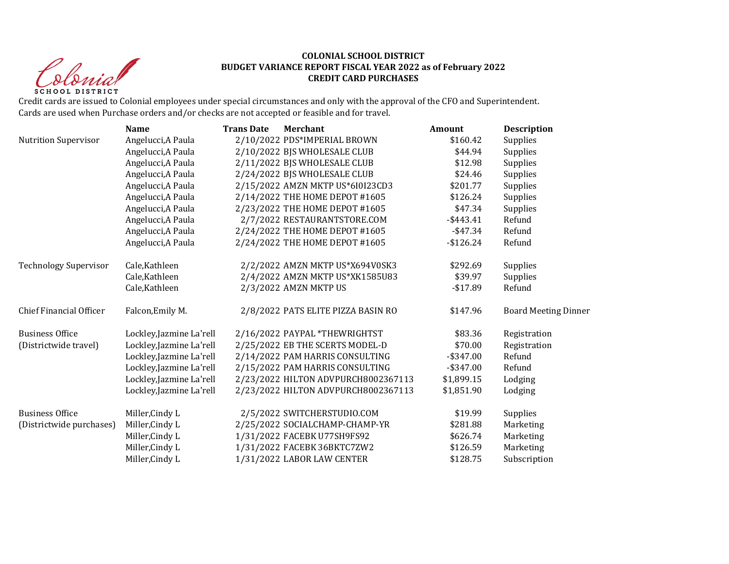Sprist **SCHOOL DISTRICT** 

#### **COLONIAL SCHOOL DISTRICT BUDGET VARIANCE REPORT FISCAL YEAR 2022 as of February 2022 CREDIT CARD PURCHASES**

Credit cards are issued to Colonial employees under special circumstances and only with the approval of the CFO and Superintendent. Cards are used when Purchase orders and/or checks are not accepted or feasible and for travel.

|                              | <b>Name</b>              | <b>Trans Date</b> | <b>Merchant</b>                     | Amount       | <b>Description</b>          |
|------------------------------|--------------------------|-------------------|-------------------------------------|--------------|-----------------------------|
| <b>Nutrition Supervisor</b>  | Angelucci, A Paula       |                   | 2/10/2022 PDS*IMPERIAL BROWN        | \$160.42     | Supplies                    |
|                              | Angelucci, A Paula       |                   | 2/10/2022 BJS WHOLESALE CLUB        | \$44.94      | Supplies                    |
|                              | Angelucci, A Paula       |                   | 2/11/2022 BJS WHOLESALE CLUB        | \$12.98      | Supplies                    |
|                              | Angelucci, A Paula       |                   | 2/24/2022 BJS WHOLESALE CLUB        | \$24.46      | Supplies                    |
|                              | Angelucci, A Paula       |                   | 2/15/2022 AMZN MKTP US*6I0I23CD3    | \$201.77     | Supplies                    |
|                              | Angelucci, A Paula       |                   | 2/14/2022 THE HOME DEPOT #1605      | \$126.24     | Supplies                    |
|                              | Angelucci, A Paula       |                   | 2/23/2022 THE HOME DEPOT #1605      | \$47.34      | Supplies                    |
|                              | Angelucci, A Paula       |                   | 2/7/2022 RESTAURANTSTORE.COM        | $-$ \$443.41 | Refund                      |
|                              | Angelucci, A Paula       |                   | 2/24/2022 THE HOME DEPOT #1605      | $-$ \$47.34  | Refund                      |
|                              | Angelucci, A Paula       |                   | 2/24/2022 THE HOME DEPOT #1605      | $-$ \$126.24 | Refund                      |
| <b>Technology Supervisor</b> | Cale, Kathleen           |                   | 2/2/2022 AMZN MKTP US*X694V0SK3     | \$292.69     | Supplies                    |
|                              | Cale, Kathleen           |                   | 2/4/2022 AMZN MKTP US*XK1585U83     | \$39.97      | Supplies                    |
|                              | Cale, Kathleen           |                   | 2/3/2022 AMZN MKTP US               | $-$17.89$    | Refund                      |
| Chief Financial Officer      | Falcon, Emily M.         |                   | 2/8/2022 PATS ELITE PIZZA BASIN RO  | \$147.96     | <b>Board Meeting Dinner</b> |
| <b>Business Office</b>       | Lockley, Jazmine La'rell |                   | 2/16/2022 PAYPAL *THEWRIGHTST       | \$83.36      | Registration                |
| (Districtwide travel)        | Lockley, Jazmine La'rell |                   | 2/25/2022 EB THE SCERTS MODEL-D     | \$70.00      | Registration                |
|                              | Lockley, Jazmine La'rell |                   | 2/14/2022 PAM HARRIS CONSULTING     | $-$ \$347.00 | Refund                      |
|                              | Lockley, Jazmine La'rell |                   | 2/15/2022 PAM HARRIS CONSULTING     | $-$ \$347.00 | Refund                      |
|                              | Lockley, Jazmine La'rell |                   | 2/23/2022 HILTON ADVPURCH8002367113 | \$1,899.15   | Lodging                     |
|                              | Lockley, Jazmine La'rell |                   | 2/23/2022 HILTON ADVPURCH8002367113 | \$1,851.90   | Lodging                     |
| <b>Business Office</b>       | Miller, Cindy L          |                   | 2/5/2022 SWITCHERSTUDIO.COM         | \$19.99      | Supplies                    |
| (Districtwide purchases)     | Miller, Cindy L          |                   | 2/25/2022 SOCIALCHAMP-CHAMP-YR      | \$281.88     | Marketing                   |
|                              | Miller, Cindy L          |                   | 1/31/2022 FACEBK U77SH9FS92         | \$626.74     | Marketing                   |
|                              | Miller, Cindy L          |                   | 1/31/2022 FACEBK 36BKTC7ZW2         | \$126.59     | Marketing                   |
|                              | Miller, Cindy L          |                   | 1/31/2022 LABOR LAW CENTER          | \$128.75     | Subscription                |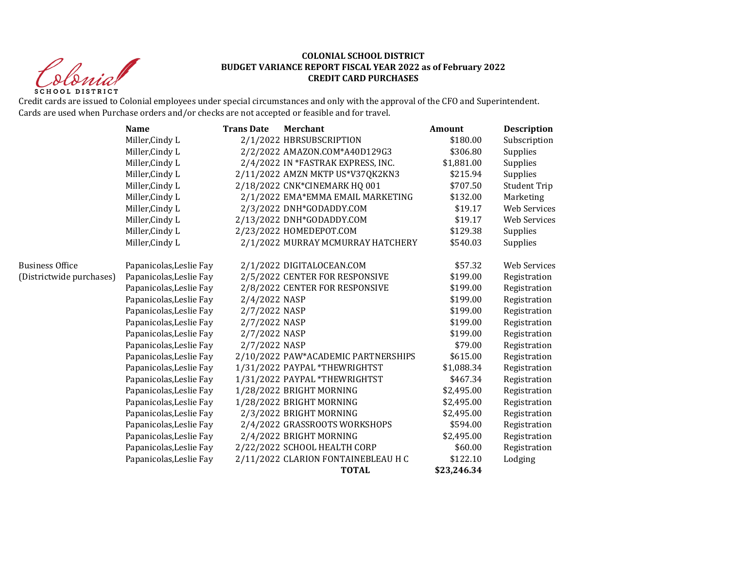Christ **SCHOOL DISTRICT** 

#### **COLONIAL SCHOOL DISTRICT BUDGET VARIANCE REPORT FISCAL YEAR 2022 as of February 2022 CREDIT CARD PURCHASES**

Credit cards are issued to Colonial employees under special circumstances and only with the approval of the CFO and Superintendent. Cards are used when Purchase orders and/or checks are not accepted or feasible and for travel.

|                          | <b>Name</b>             | <b>Trans Date</b> | <b>Merchant</b>                     | <b>Amount</b> | <b>Description</b>  |
|--------------------------|-------------------------|-------------------|-------------------------------------|---------------|---------------------|
|                          | Miller, Cindy L         |                   | 2/1/2022 HBRSUBSCRIPTION            | \$180.00      | Subscription        |
|                          | Miller, Cindy L         |                   | 2/2/2022 AMAZON.COM*A40D129G3       | \$306.80      | Supplies            |
|                          | Miller, Cindy L         |                   | 2/4/2022 IN *FASTRAK EXPRESS, INC.  | \$1,881.00    | Supplies            |
|                          | Miller, Cindy L         |                   | 2/11/2022 AMZN MKTP US*V37QK2KN3    | \$215.94      | Supplies            |
|                          | Miller, Cindy L         |                   | 2/18/2022 CNK*CINEMARK HQ 001       | \$707.50      | <b>Student Trip</b> |
|                          | Miller, Cindy L         |                   | 2/1/2022 EMA*EMMA EMAIL MARKETING   | \$132.00      | Marketing           |
|                          | Miller, Cindy L         |                   | 2/3/2022 DNH*GODADDY.COM            | \$19.17       | <b>Web Services</b> |
|                          | Miller, Cindy L         |                   | 2/13/2022 DNH*GODADDY.COM           | \$19.17       | Web Services        |
|                          | Miller, Cindy L         |                   | 2/23/2022 HOMEDEPOT.COM             | \$129.38      | Supplies            |
|                          | Miller, Cindy L         |                   | 2/1/2022 MURRAY MCMURRAY HATCHERY   | \$540.03      | Supplies            |
| <b>Business Office</b>   | Papanicolas, Leslie Fay |                   | 2/1/2022 DIGITALOCEAN.COM           | \$57.32       | Web Services        |
| (Districtwide purchases) | Papanicolas, Leslie Fay |                   | 2/5/2022 CENTER FOR RESPONSIVE      | \$199.00      | Registration        |
|                          | Papanicolas, Leslie Fay |                   | 2/8/2022 CENTER FOR RESPONSIVE      | \$199.00      | Registration        |
|                          | Papanicolas, Leslie Fay | 2/4/2022 NASP     |                                     | \$199.00      | Registration        |
|                          | Papanicolas, Leslie Fay | 2/7/2022 NASP     |                                     | \$199.00      | Registration        |
|                          | Papanicolas, Leslie Fay | 2/7/2022 NASP     |                                     | \$199.00      | Registration        |
|                          | Papanicolas, Leslie Fay | 2/7/2022 NASP     |                                     | \$199.00      | Registration        |
|                          | Papanicolas, Leslie Fay | 2/7/2022 NASP     |                                     | \$79.00       | Registration        |
|                          | Papanicolas, Leslie Fay |                   | 2/10/2022 PAW*ACADEMIC PARTNERSHIPS | \$615.00      | Registration        |
|                          | Papanicolas, Leslie Fay |                   | 1/31/2022 PAYPAL *THEWRIGHTST       | \$1,088.34    | Registration        |
|                          | Papanicolas, Leslie Fay |                   | 1/31/2022 PAYPAL *THEWRIGHTST       | \$467.34      | Registration        |
|                          | Papanicolas, Leslie Fay |                   | 1/28/2022 BRIGHT MORNING            | \$2,495.00    | Registration        |
|                          | Papanicolas, Leslie Fay |                   | 1/28/2022 BRIGHT MORNING            | \$2,495.00    | Registration        |
|                          | Papanicolas, Leslie Fay |                   | 2/3/2022 BRIGHT MORNING             | \$2,495.00    | Registration        |
|                          | Papanicolas, Leslie Fay |                   | 2/4/2022 GRASSROOTS WORKSHOPS       | \$594.00      | Registration        |
|                          | Papanicolas, Leslie Fay |                   | 2/4/2022 BRIGHT MORNING             | \$2,495.00    | Registration        |
|                          | Papanicolas, Leslie Fay |                   | 2/22/2022 SCHOOL HEALTH CORP        | \$60.00       | Registration        |
|                          | Papanicolas, Leslie Fay |                   | 2/11/2022 CLARION FONTAINEBLEAU H C | \$122.10      | Lodging             |
|                          |                         |                   | <b>TOTAL</b>                        | \$23,246.34   |                     |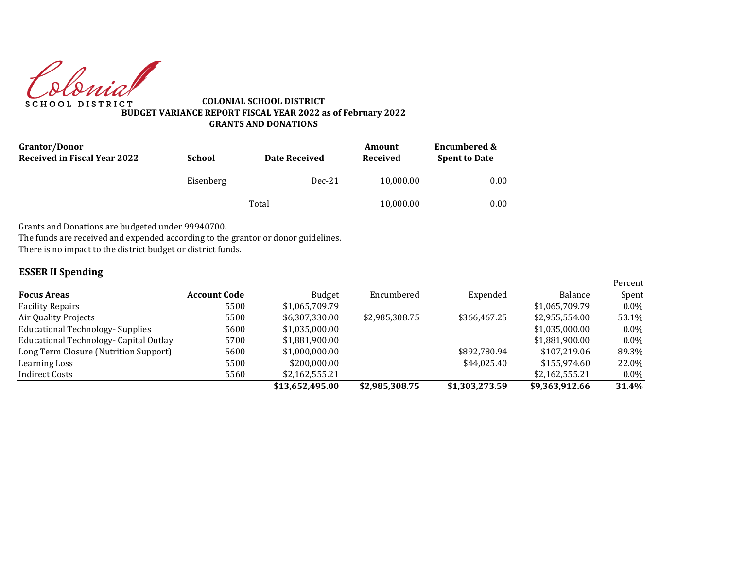Colonial **SCHOOL DISTRICT** 

**COLONIAL SCHOOL DISTRICT BUDGET VARIANCE REPORT FISCAL YEAR 2022 as of February 2022 GRANTS AND DONATIONS**

| <b>Grantor/Donor</b><br><b>Received in Fiscal Year 2022</b> | <b>School</b> | <b>Date Received</b> | Amount<br>Received | <b>Encumbered &amp;</b><br><b>Spent to Date</b> |  |
|-------------------------------------------------------------|---------------|----------------------|--------------------|-------------------------------------------------|--|
|                                                             | Eisenberg     | $Dec-21$             | 10,000.00          | 0.00                                            |  |
|                                                             |               | Total                | 10,000.00          | 0.00                                            |  |

Grants and Donations are budgeted under 99940700.

The funds are received and expended according to the grantor or donor guidelines.

There is no impact to the district budget or district funds.

## **ESSER II Spending**

|                                         |                     |                 |                |                |                | Percent |
|-----------------------------------------|---------------------|-----------------|----------------|----------------|----------------|---------|
| <b>Focus Areas</b>                      | <b>Account Code</b> | <b>Budget</b>   | Encumbered     | Expended       | Balance        | Spent   |
| <b>Facility Repairs</b>                 | 5500                | \$1,065,709.79  |                |                | \$1,065,709.79 | $0.0\%$ |
| Air Quality Projects                    | 5500                | \$6,307,330.00  | \$2,985,308.75 | \$366,467.25   | \$2,955,554.00 | 53.1%   |
| <b>Educational Technology- Supplies</b> | 5600                | \$1,035,000.00  |                |                | \$1,035,000.00 | $0.0\%$ |
| Educational Technology- Capital Outlay  | 5700                | \$1,881,900.00  |                |                | \$1,881,900.00 | $0.0\%$ |
| Long Term Closure (Nutrition Support)   | 5600                | \$1,000,000.00  |                | \$892,780.94   | \$107.219.06   | 89.3%   |
| Learning Loss                           | 5500                | \$200,000,00    |                | \$44,025.40    | \$155.974.60   | 22.0%   |
| Indirect Costs                          | 5560                | \$2,162,555.21  |                |                | \$2,162,555.21 | $0.0\%$ |
|                                         |                     | \$13,652,495.00 | \$2,985,308.75 | \$1,303,273.59 | \$9,363,912.66 | 31.4%   |